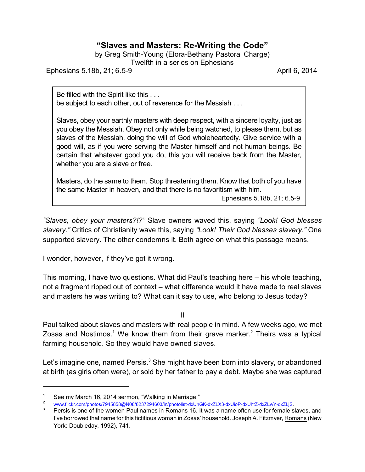## **"Slaves and Masters: Re-Writing the Code"**

by Greg Smith-Young (Elora-Bethany Pastoral Charge) Twelfth in a series on Ephesians

Ephesians 5.18b, 21; 6.5-9 April 6, 2014

Be filled with the Spirit like this . . . be subject to each other, out of reverence for the Messiah . . .

Slaves, obey your earthly masters with deep respect, with a sincere loyalty, just as you obey the Messiah. Obey not only while being watched, to please them, but as slaves of the Messiah, doing the will of God wholeheartedly. Give service with a good will, as if you were serving the Master himself and not human beings. Be certain that whatever good you do, this you will receive back from the Master, whether you are a slave or free.

Masters, do the same to them. Stop threatening them. Know that both of you have the same Master in heaven, and that there is no favoritism with him.

Ephesians 5.18b, 21; 6.5-9

*"Slaves, obey your masters?!?"* Slave owners waved this, saying *"Look! God blesses slavery."* Critics of Christianity wave this, saying *"Look! Their God blesses slavery."* One supported slavery. The other condemns it. Both agree on what this passage means.

I wonder, however, if they've got it wrong.

This morning, I have two questions. What did Paul's teaching here – his whole teaching, not a fragment ripped out of context – what difference would it have made to real slaves and masters he was writing to? What can it say to use, who belong to Jesus today?

II

Paul talked about slaves and masters with real people in mind. A few weeks ago, we met Zosas and Nostimos.<sup>1</sup> We know them from their grave marker.<sup>2</sup> Theirs was a typical farming household. So they would have owned slaves.

Let's imagine one, named Persis. $3$  She might have been born into slavery, or abandoned at birth (as girls often were), or sold by her father to pay a debt. Maybe she was captured

See my March 16, 2014 sermon, "Walking in Marriage."

<sup>2</sup> [www.flickr.com/photos/7945858@N08/8237294603/in/photolist-dxUhGK-dxZLX3-dxUioP-dxUhtZ-dxZLwY-dxZLjS](<current%20dhttp://www.flickr.com/photos/7945858@N08/8237294603/in/photolist-dxUhGK-dxZLX3-dxUioP-dxUhtZ-dxZLwY-dxZLjS).

Persis is one of the women Paul names in Romans 16. It was a name often use for female slaves, and I've borrowed that name for this fictitious woman in Zosas' household. Joseph A. Fitzmyer, Romans (New York: Doubleday, 1992), 741.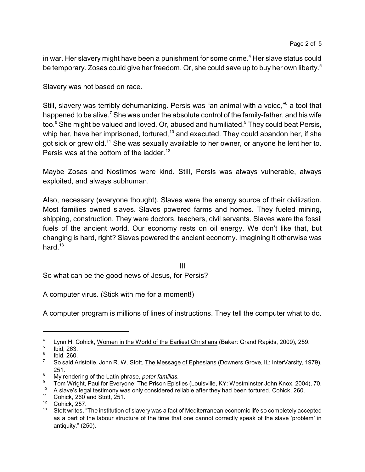in war. Her slavery might have been a punishment for some crime.<sup>4</sup> Her slave status could be temporary. Zosas could give her freedom. Or, she could save up to buy her own liberty. 5

Slavery was not based on race.

Still, slavery was terribly dehumanizing. Persis was "an animal with a voice,"<sup>6</sup> a tool that happened to be alive.<sup>7</sup> She was under the absolute control of the family-father, and his wife too.<sup>8</sup> She might be valued and loved. Or, abused and humiliated.<sup>9</sup> They could beat Persis, whip her, have her imprisoned, tortured, $^\text{10}$  and executed. They could abandon her, if she got sick or grew old.<sup>11</sup> She was sexually available to her owner, or anyone he lent her to. Persis was at the bottom of the ladder.<sup>12</sup>

Maybe Zosas and Nostimos were kind. Still, Persis was always vulnerable, always exploited, and always subhuman.

Also, necessary (everyone thought). Slaves were the energy source of their civilization. Most families owned slaves. Slaves powered farms and homes. They fueled mining, shipping, construction. They were doctors, teachers, civil servants. Slaves were the fossil fuels of the ancient world. Our economy rests on oil energy. We don't like that, but changing is hard, right? Slaves powered the ancient economy. Imagining it otherwise was hard. $13$ 

III

So what can be the good news of Jesus, for Persis?

A computer virus. (Stick with me for a moment!)

A computer program is millions of lines of instructions. They tell the computer what to do.

<sup>4</sup> Lynn H. Cohick, Women in the World of the Earliest Christians (Baker: Grand Rapids, 2009), 259.

<sup>5</sup> Ibid, 263.

<sup>6</sup> Ibid, 260.

<sup>&</sup>lt;sup>7</sup> So said Aristotle. John R. W. Stott, The Message of Ephesians (Downers Grove, IL: InterVarsity, 1979), 251.

<sup>8</sup> My rendering of the Latin phrase, *pater familias.*

<sup>&</sup>lt;sup>9</sup> Tom Wright, <u>Paul for Everyone: The Prison Epistles</u> (Louisville, KY: Westminster John Knox, 2004), 70.

<sup>&</sup>lt;sup>10</sup> A slave's legal testimony was only considered reliable after they had been tortured. Cohick, 260.<br><sup>11</sup> Cohick, 260 and Stott, 251

<sup>&</sup>lt;sup>11</sup> Cohick, 260 and Stott, 251.<br><sup>12</sup> Cohick, 257

 $12$  Cohick, 257.

<sup>13</sup> Stott writes, "The institution of slavery was a fact of Mediterranean economic life so completely accepted as a part of the labour structure of the time that one cannot correctly speak of the slave 'problem' in antiquity." (250).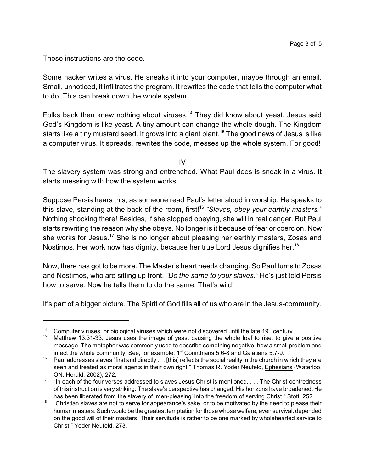These instructions are the code.

Some hacker writes a virus. He sneaks it into your computer, maybe through an email. Small, unnoticed, it infiltrates the program. It rewrites the code that tells the computer what to do. This can break down the whole system.

Folks back then knew nothing about viruses.<sup>14</sup> They did know about yeast. Jesus said God's Kingdom is like yeast. A tiny amount can change the whole dough. The Kingdom starts like a tiny mustard seed. It grows into a giant plant.<sup>15</sup> The good news of Jesus is like a computer virus. It spreads, rewrites the code, messes up the whole system. For good!

IV

The slavery system was strong and entrenched. What Paul does is sneak in a virus. It starts messing with how the system works.

Suppose Persis hears this, as someone read Paul's letter aloud in worship. He speaks to this slave, standing at the back of the room, first!<sup>16</sup> "Slaves*, obey your earthly masters."* Nothing shocking there! Besides, if she stopped obeying, she will in real danger. But Paul starts rewriting the reason why she obeys. No longer is it because of fear or coercion. Now she works for Jesus.<sup>17</sup> She is no longer about pleasing her earthly masters, Zosas and Nostimos. Her work now has dignity, because her true Lord Jesus dignifies her.<sup>18</sup>

Now, there has got to be more. The Master's heart needs changing. So Paul turns to Zosas and Nostimos, who are sitting up front. *"Do the same to your slaves."* He's just told Persis how to serve. Now he tells them to do the same. That's wild!

It's part of a bigger picture. The Spirit of God fills all of us who are in the Jesus-community.

<sup>&</sup>lt;sup>14</sup> Computer viruses, or biological viruses which were not discovered until the late  $19<sup>th</sup>$  century.<br><sup>15</sup> Matthow 13, 31, 33, Josus uses the image of veast causing the whole loaf to rise, to give

<sup>15</sup> Matthew 13.31-33. Jesus uses the image of yeast causing the whole loaf to rise, to give a positive message. The metaphor was commonly used to describe something negative, how a small problem and infect the whole community. See, for example,  $1<sup>st</sup>$  Corinthians 5.6-8 and Galatians 5.7-9.

<sup>&</sup>lt;sup>16</sup> Paul addresses slaves "first and directly  $\ldots$  [this] reflects the social reality in the church in which they are seen and treated as moral agents in their own right." Thomas R. Yoder Neufeld, Ephesians (Waterloo, ON: Herald, 2002), 272.

<sup>&</sup>lt;sup>17</sup> "In each of the four verses addressed to slaves Jesus Christ is mentioned. . . . The Christ-centredness of this instruction is very striking. The slave's perspective has changed. His horizons have broadened. He has been liberated from the slavery of 'men-pleasing' into the freedom of serving Christ." Stott, 252.

<sup>&</sup>lt;sup>18</sup> "Christian slaves are not to serve for appearance's sake, or to be motivated by the need to please their human masters. Such would be the greatest temptation for those whose welfare, even survival, depended on the good will of their masters. Their servitude is rather to be one marked by wholehearted service to Christ." Yoder Neufeld, 273.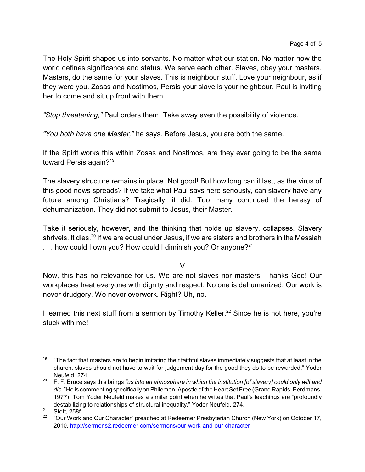The Holy Spirit shapes us into servants. No matter what our station. No matter how the world defines significance and status. We serve each other. Slaves, obey your masters. Masters, do the same for your slaves. This is neighbour stuff. Love your neighbour, as if they were you. Zosas and Nostimos, Persis your slave is your neighbour. Paul is inviting her to come and sit up front with them.

*"Stop threatening,"* Paul orders them. Take away even the possibility of violence.

*"You both have one Master,"* he says. Before Jesus, you are both the same.

If the Spirit works this within Zosas and Nostimos, are they ever going to be the same toward Persis again?<sup>19</sup>

The slavery structure remains in place. Not good! But how long can it last, as the virus of this good news spreads? If we take what Paul says here seriously, can slavery have any future among Christians? Tragically, it did. Too many continued the heresy of dehumanization. They did not submit to Jesus, their Master.

Take it seriously, however, and the thinking that holds up slavery, collapses. Slavery shrivels. It dies.<sup>20</sup> If we are equal under Jesus, if we are sisters and brothers in the Messiah ... how could I own you? How could I diminish you? Or anyone?<sup>21</sup>

 $\vee$ 

Now, this has no relevance for us. We are not slaves nor masters. Thanks God! Our workplaces treat everyone with dignity and respect. No one is dehumanized. Our work is never drudgery. We never overwork. Right? Uh, no.

I learned this next stuff from a sermon by Timothy Keller.<sup>22</sup> Since he is not here, you're stuck with me!

 $19$  "The fact that masters are to begin imitating their faithful slaves immediately suggests that at least in the church, slaves should not have to wait for judgement day for the good they do to be rewarded." Yoder Neufeld, 274.

<sup>20</sup> F. F. Bruce says this brings *"us into an atmosphere in which the institution [of slavery] could only wilt and die."* He is commenting specificallyon Philemon. Apostle of the Heart Set Free (Grand Rapids: Eerdmans, 1977). Tom Yoder Neufeld makes a similar point when he writes that Paul's teachings are "profoundly destabilizing to relationships of structural inequality." Yoder Neufeld, 274.

<sup>21</sup> Stott, 258f.

<sup>&</sup>lt;sup>22</sup> "Our Work and Our Character" preached at Redeemer Presbyterian Church (New York) on October 17, 2010.<http://sermons2.redeemer.com/sermons/our-work-and-our-character>